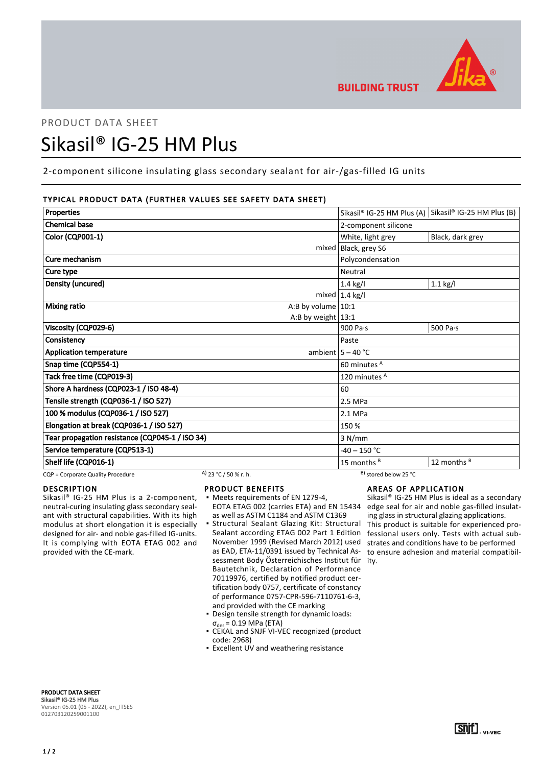

# PRODUCT DATA SHEET Sikasil® IG-25 HM Plus

# 2-component silicone insulating glass secondary sealant for air-/gas-filled IG units

# TYPICAL PRODUCT DATA (FURTHER VALUES SEE SAFETY DATA SHEET)

| Properties                                                 |                      |                                   | Sikasil® IG-25 HM Plus (A) Sikasil® IG-25 HM Plus (B) |
|------------------------------------------------------------|----------------------|-----------------------------------|-------------------------------------------------------|
| <b>Chemical base</b>                                       |                      | 2-component silicone              |                                                       |
| Color (CQP001-1)                                           |                      | White, light grey                 | Black, dark grey                                      |
|                                                            |                      | mixed   Black, grey S6            |                                                       |
| Cure mechanism                                             |                      | Polycondensation                  |                                                       |
| Cure type                                                  |                      | Neutral                           |                                                       |
| <b>Density (uncured)</b>                                   |                      | 1.4 kg/l                          | $1.1$ kg/l                                            |
|                                                            |                      | mixed $ 1.4 \text{ kg}/I$         |                                                       |
| <b>Mixing ratio</b>                                        | A:B by volume $10:1$ |                                   |                                                       |
|                                                            | A:B by weight $13:1$ |                                   |                                                       |
| Viscosity (CQP029-6)                                       |                      | 900 Pa $\cdot$ s                  | 500 Pa $\cdot$ s                                      |
| Consistency                                                |                      | Paste                             |                                                       |
| <b>Application temperature</b>                             |                      | ambient $5 - 40$ °C               |                                                       |
| Snap time (CQP554-1)                                       |                      | 60 minutes <sup>A</sup>           |                                                       |
| Tack free time (CQP019-3)                                  |                      | 120 minutes A                     |                                                       |
| Shore A hardness (CQP023-1 / ISO 48-4)                     |                      | 60                                |                                                       |
| Tensile strength (CQP036-1 / ISO 527)                      |                      | 2.5 MPa                           |                                                       |
| 100 % modulus (CQP036-1 / ISO 527)                         |                      | 2.1 MPa                           |                                                       |
| Elongation at break (CQP036-1 / ISO 527)                   |                      | 150 %                             |                                                       |
| Tear propagation resistance (CQP045-1 / ISO 34)            |                      | 3 N/mm                            |                                                       |
| Service temperature (CQP513-1)                             |                      | $-40 - 150 °C$                    |                                                       |
| Shelf life (CQP016-1)                                      |                      | 15 months $B$                     | 12 months B                                           |
| A) 23 °C / 50 % r. h.<br>CQP = Corporate Quality Procedure |                      | <sup>B</sup> ) stored below 25 °C |                                                       |

### DESCRIPTION

Sikasil® IG-25 HM Plus is a 2-component, neutral-curing insulating glass secondary sealant with structural capabilities. With its high modulus at short elongation it is especially designed for air- and noble gas-filled IG-units. It is complying with EOTA ETAG 002 and provided with the CE-mark.

- PRODUCT BENEFITS
- Meets requirements of EN 1279-4, EOTA ETAG 002 (carries ETA) and EN 15434 as well as ASTM C1184 and ASTM C1369
- Structural Sealant Glazing Kit: Structural Sealant according ETAG 002 Part 1 Edition November 1999 (Revised March 2012) used as EAD, ETA-11/0391 issued by Technical Assessment Body Österreichisches Institut für ity. Bautetchnik, Declaration of Performance 70119976, certified by notified product certification body 0757, certificate of constancy of performance 0757-CPR-596-7110761-6-3, and provided with the CE marking ▪
- Design tensile strength for dynamic loads:  $_{c}$  = 0.19 MPa (ETA)
- CEKAL and SNJF VI-VEC recognized (product code: 2968)
- **Excellent UV and weathering resistance**

# AREAS OF APPLICATION

Sikasil® IG-25 HM Plus is ideal as a secondary edge seal for air and noble gas-filled insulating glass in structural glazing applications. This product is suitable for experienced professional users only. Tests with actual substrates and conditions have to be performed to ensure adhesion and material compatibil-

PRODUCT DATA SHEET Sikasil® IG-25 HM Plus Version 05.01 (05 - 2022), en\_ITSES 012703120259001100